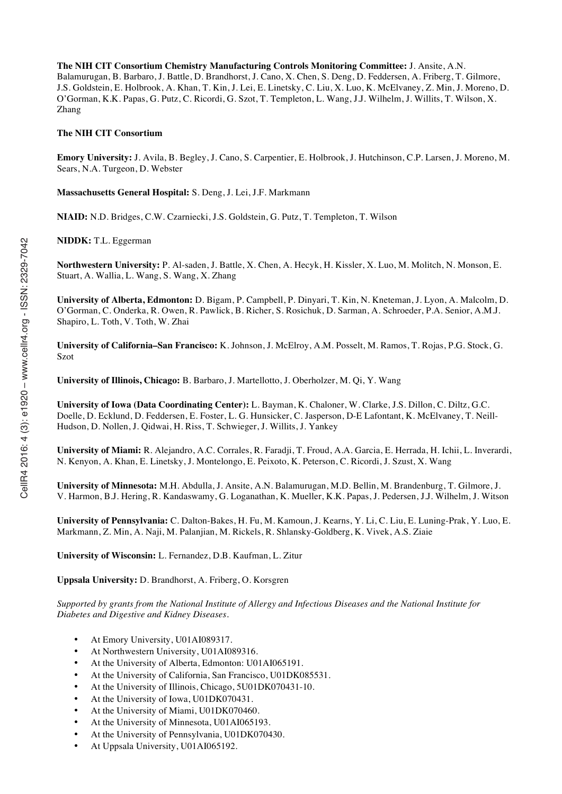**The NIH CIT Consortium Chemistry Manufacturing Controls Monitoring Committee:** J. Ansite, A.N. Balamurugan, B. Barbaro, J. Battle, D. Brandhorst, J. Cano, X. Chen, S. Deng, D. Feddersen, A. Friberg, T. Gilmore, J.S. Goldstein, E. Holbrook, A. Khan, T. Kin, J. Lei, E. Linetsky, C. Liu, X. Luo, K. McElvaney, Z. Min, J. Moreno, D. O'Gorman, K.K. Papas, G. Putz, C. Ricordi, G. Szot, T. Templeton, L. Wang, J.J. Wilhelm, J. Willits, T. Wilson, X. Zhang

## **The NIH CIT Consortium**

**Emory University:** J. Avila, B. Begley, J. Cano, S. Carpentier, E. Holbrook, J. Hutchinson, C.P. Larsen, J. Moreno, M. Sears, N.A. Turgeon, D. Webster

**Massachusetts General Hospital:** S. Deng, J. Lei, J.F. Markmann

**NIAID:** N.D. Bridges, C.W. Czarniecki, J.S. Goldstein, G. Putz, T. Templeton, T. Wilson

**NIDDK:** T.L. Eggerman

**Northwestern University:** P. Al-saden, J. Battle, X. Chen, A. Hecyk, H. Kissler, X. Luo, M. Molitch, N. Monson, E. Stuart, A. Wallia, L. Wang, S. Wang, X. Zhang

**University of Alberta, Edmonton:** D. Bigam, P. Campbell, P. Dinyari, T. Kin, N. Kneteman, J. Lyon, A. Malcolm, D. O'Gorman, C. Onderka, R. Owen, R. Pawlick, B. Richer, S. Rosichuk, D. Sarman, A. Schroeder, P.A. Senior, A.M.J. Shapiro, L. Toth, V. Toth, W. Zhai

**University of California–San Francisco:** K. Johnson, J. McElroy, A.M. Posselt, M. Ramos, T. Rojas, P.G. Stock, G. Szot

**University of Illinois, Chicago:** B. Barbaro, J. Martellotto, J. Oberholzer, M. Qi, Y. Wang

**University of Iowa (Data Coordinating Center):** L. Bayman, K. Chaloner, W. Clarke, J.S. Dillon, C. Diltz, G.C. Doelle, D. Ecklund, D. Feddersen, E. Foster, L. G. Hunsicker, C. Jasperson, D-E Lafontant, K. McElvaney, T. Neill-Hudson, D. Nollen, J. Qidwai, H. Riss, T. Schwieger, J. Willits, J. Yankey

**University of Miami:** R. Alejandro, A.C. Corrales, R. Faradji, T. Froud, A.A. Garcia, E. Herrada, H. Ichii, L. Inverardi, N. Kenyon, A. Khan, E. Linetsky, J. Montelongo, E. Peixoto, K. Peterson, C. Ricordi, J. Szust, X. Wang

**University of Minnesota:** M.H. Abdulla, J. Ansite, A.N. Balamurugan, M.D. Bellin, M. Brandenburg, T. Gilmore, J. V. Harmon, B.J. Hering, R. Kandaswamy, G. Loganathan, K. Mueller, K.K. Papas, J. Pedersen, J.J. Wilhelm, J. Witson

**University of Pennsylvania:** C. Dalton-Bakes, H. Fu, M. Kamoun, J. Kearns, Y. Li, C. Liu, E. Luning-Prak, Y. Luo, E. Markmann, Z. Min, A. Naji, M. Palanjian, M. Rickels, R. Shlansky-Goldberg, K. Vivek, A.S. Ziaie

**University of Wisconsin:** L. Fernandez, D.B. Kaufman, L. Zitur

**Uppsala University:** D. Brandhorst, A. Friberg, O. Korsgren

*Supported by grants from the National Institute of Allergy and Infectious Diseases and the National Institute for Diabetes and Digestive and Kidney Diseases.*

- At Emory University, U01AI089317.
- At Northwestern University, U01AI089316.
- At the University of Alberta, Edmonton: U01AI065191.
- At the University of California, San Francisco, U01DK085531.
- At the University of Illinois, Chicago, 5U01DK070431-10.
- At the University of Iowa, U01DK070431.
- At the University of Miami, U01DK070460.
- At the University of Minnesota, U01AI065193.
- At the University of Pennsylvania, U01DK070430.
- At Uppsala University, U01AI065192.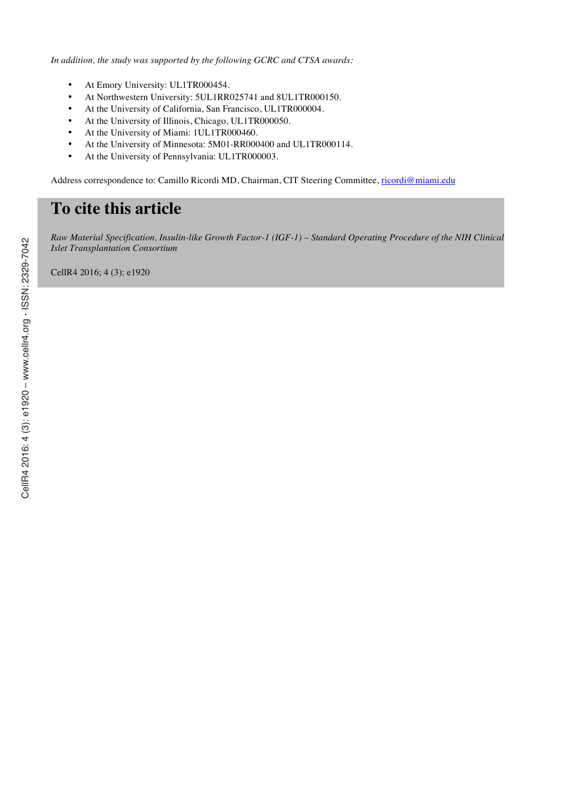*In addition, the study was supported by the following GCRC and CTSA awards:*

- At Emory University: UL1TR000454.
- At Northwestern University: 5UL1RR025741 and 8UL1TR000150.
- At the University of California, San Francisco, UL1TR000004.
- At the University of Illinois, Chicago, UL1TR000050.
- At the University of Miami: 1UL1TR000460.
- At the University of Minnesota: 5M01-RR000400 and UL1TR000114.
- At the University of Pennsylvania: UL1TR000003.

Address correspondence to: Camillo Ricordi MD, Chairman, CIT Steering Committee, ricordi@miami.edu

# **To cite this article**

*Raw Material Specification, Insulin-like Growth Factor-1 (IGF-1) – Standard Operating Procedure of the NIH Clinical Islet Transplantation Consortium*

CellR4 2016; 4 (3): e1920